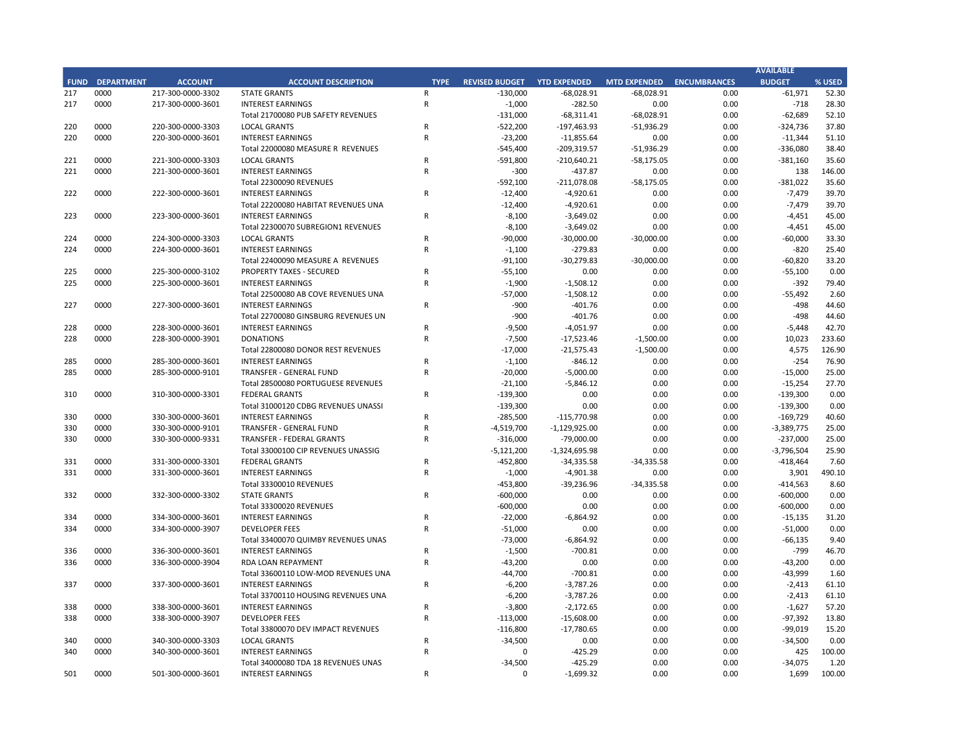## **CITY OF RANCHO PALOS VERDES STATEMENT OF REVENUES - ALL FUNDS October 31, 2018**

|             |                                   |                       | FY 2018-19 |                    | FY 2017-18 |                    |                       |          |
|-------------|-----------------------------------|-----------------------|------------|--------------------|------------|--------------------|-----------------------|----------|
| <b>FUND</b> | <b>FUND DESCRIPTION</b>           | <b>REVISED BUDGET</b> |            | <b>YTD ACTUALS</b> | % REC'D    | <b>YTD ACTUALS</b> | YEAR OVER YEAR CHANGE |          |
| <b>101</b>  | <b>GENERAL FUND</b>               |                       |            |                    |            |                    |                       |          |
|             | <b>PROPERTY TAXES</b>             | \$<br>13,439,000      | \$         | 358,166            | 2.7%       | \$<br>401,609      | (43, 443)             | $-10.8%$ |
|             | <b>OTHER TAXES</b>                | 13,621,300            |            | 3,129,096          | 23.0%      | 2,815,966          | 313,130               | 11.1%    |
|             | <b>LICENSES &amp; PERMITS</b>     | 2,290,300             |            | 851,829            | 37.2%      | 785,875            | 65,954                | 8.4%     |
|             | <b>FINES AND FORFEITURES</b>      | 97,000                |            | 19,580             | 20.2%      | 10,192             | 9,388                 | 92.1%    |
|             | USE OF MONEY AND PROPERTY         | 545,400               |            | 218,332            | 40.0%      | 209,943            | 8,389                 | 4.0%     |
|             | <b>CHARGES FOR SERVICES</b>       | 416,600               |            | 98,456             | 23.6%      | 39,552             | 58,904                | 148.9%   |
|             | INTERGOVERNMENTAL REVENUE         | 0                     |            | $\Omega$           | 0.0%       | 0                  | 0                     | 0.0%     |
|             | <b>OTHER REVENUE</b>              | 513,500               |            | 205,783            | 40.1%      | 197,600            | 8,184                 | 4.1%     |
|             | <b>TRANSFERS IN</b>               | 220,000               |            | 55,000             | 25.0%      | 57,500             | (2,500)               | $-4.3%$  |
|             | <b>TOTAL GENERAL FUND</b>         | 31,143,100            |            | 4,936,242          | 15.9%      | 4,518,236          | 418,006               | 9.3%     |
|             |                                   |                       |            |                    |            |                    |                       |          |
| <b>200</b>  | <b>SPECIAL REVENUE FUNDS</b>      |                       |            |                    |            |                    |                       |          |
| 202         | <b>STREET MAINTENANCE</b>         | 1,798,600             |            | 468,841            | 26.1%      | 332,440            | 136,401               | 41.0%    |
| 203         | 1972 ACT LANDSCAPING & LIGHTING   | 300                   |            | 129                | 42.9%      | 70                 | 58                    | 83.1%    |
| 209         | <b>EL PRADO LIGHTING DISTRICT</b> | 2,500                 |            | 210                | 8.4%       | 136                | 75                    | 55.0%    |
|             | 211 1911 ACT STREET LIGHTING      | 628,000               |            | 28,136             | 4.5%       | 22,676             | 5,460                 | 24.1%    |
| 212         | <b>BEAUTIFICATION</b>             | 5,000                 |            | 1,901              | 38.0%      | 1,192              | 710                   | 59.6%    |
| 213         | <b>WASTE REDUCTION</b>            | 211,700               |            | 55,500             | 26.2%      | 53,796             | 1,704                 | 3.2%     |
| 214         | AIR QUALITY MANAGEMENT            | 50,900                |            | 316                | 0.6%       | 198                | 118                   | 59.7%    |
| 215         | PROPOSITION C                     | 702,400               |            | 257,442            | 36.7%      | 213,779            | 43,663                | 20.4%    |
| 216         | <b>PROPOSITION A</b>              | 849,400               |            | 316,137            | 37.2%      | 261,935            | 54,202                | 20.7%    |
| 217         | PUBLIC SAFETY GRANTS              | 131,000               |            | 68,311             | 52.1%      | 59,894             | 8,417                 | 14.1%    |
| 220         | <b>MEASURE R</b>                  | 545,400               |            | 209,320            | 38.4%      | 164,052            | 45,268                | 27.6%    |
| 221         | <b>MEASURE M</b>                  | 592,100               |            | 211,078            | 35.6%      | 65,871             | 145,207               | 220.4%   |
| 222         | <b>HABITAT RESTORATION</b>        | 12,400                |            | 4,921              | 39.7%      | 2,927              | 1,994                 | 68.1%    |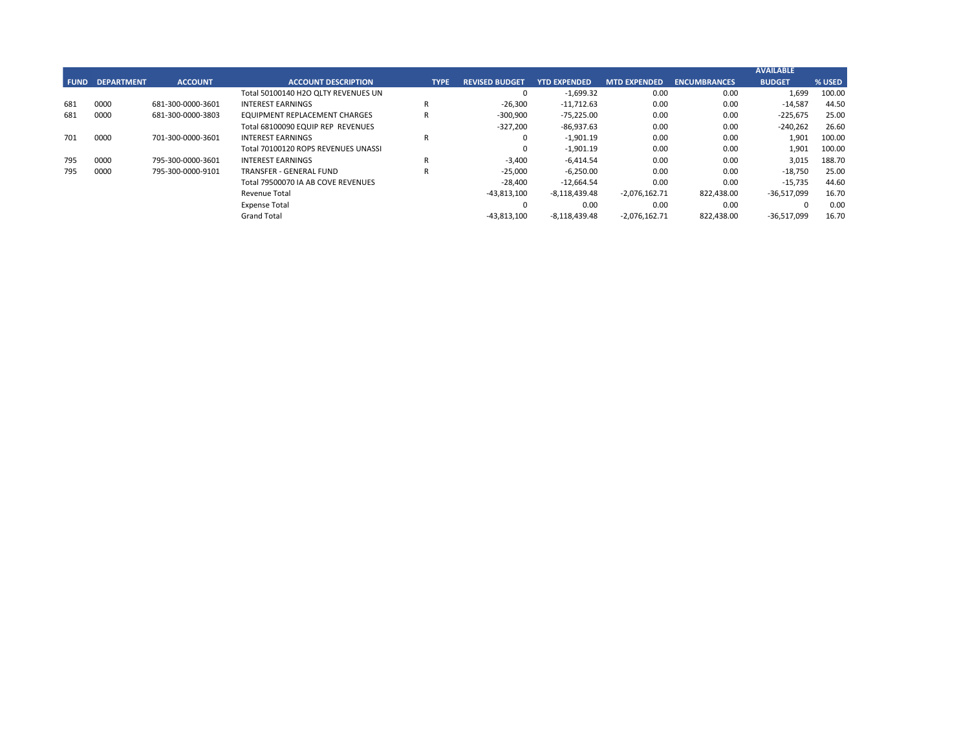## **CITY OF RANCHO PALOS VERDES STATEMENT OF REVENUES - ALL FUNDS October 31, 2018**

|             |                                          |                       | FY 2018-19         |         | FY 2017-18         |                       |           |
|-------------|------------------------------------------|-----------------------|--------------------|---------|--------------------|-----------------------|-----------|
| <b>FUND</b> | <b>FUND DESCRIPTION</b>                  | <b>REVISED BUDGET</b> | <b>YTD ACTUALS</b> | % REC'D | <b>YTD ACTUALS</b> | YEAR OVER YEAR CHANGE |           |
| 223         | <b>SUBREGION ONE MAINTENANCE</b>         | 8,100                 | 3,649              | 45.0%   | 12,266             | (8,617)               | $-70.3%$  |
| 224         | <b>MEASURE A MAINTENANCE</b>             | 91,100                | 30,280             | 33.2%   | 11,629             | 18,651                | 160.4%    |
| 225         | ABALONE COVE SEWER DISTRICT              | 57,000                | 1,508              | 2.6%    | 52,408             | (50, 899)             | $-97.1%$  |
| 227         | <b>GINSBERG CULTURAL ARTS BLDG.</b>      | 900                   | 402                | 44.6%   | 215                | 187                   | 87.2%     |
| 228         | DONOR RESTRICTED CONTRIBUTIONS           | 17,000                | 21,575             | 126.9%  | 5,203              | 16,373                | 314.7%    |
|             | <b>TOTAL SPECIAL REVENUE FUNDS</b>       | 5,703,800             | 1,679,657          | 29.4%   | 1,260,685          | 418,971               | 33.2%     |
|             |                                          |                       |                    |         |                    |                       |           |
| 300         | <b>CAPITAL PROJECTS FUNDS</b>            |                       |                    |         |                    |                       |           |
| 310         | COMMUNITY DEVELOPMENT BLOCK GRANT (CDBG) | 139,300               | 0                  | 0.0%    | 29,562             | (29, 562)             | $-100.0%$ |
| 330         | <b>INFRASTRUCTURE IMPROVEMENTS</b>       | 5,121,200             | 1,324,696          | 25.9%   | 1,203,454          | 121,242               | 10.1%     |
| 331         | <b>FEDERAL GRANTS</b>                    | 453,800               | 39,237             | 8.6%    | 187,788            | (148, 551)            | $-79.1%$  |
| 332         | <b>STATE GRANTS</b>                      | 600,000               | $\mathbf{0}$       | 0.0%    | $\pmb{0}$          | $\mathbf{0}$          | 0.0%      |
| 334         | <b>QUIMBY PARK DEVELOPMENT</b>           | 73,000                | 6,865              | 9.4%    | 5,832              | 1,033                 | 17.7%     |
| 336         | LOW-MODERATE INCOME HOUSING              | 44,700                | 701                | 1.6%    | 34,669             | (33,968)              | $-98.0%$  |
| 337         | AFFORDABLE HOUSING PROJECTS              | 6,200                 | 3,787              | 61.1%   | 1,476              | 2,312                 | 156.7%    |
| 338         | DEVELOP IMPACT MITIGATION (EET)          | 116,800               | 17,781             | 15.2%   | 69,449             | (51, 668)             | $-74.4%$  |
| 340         | <b>BICYCLE &amp; PEDESTRIAN ACCESS</b>   | 34,500                | 425                | 1.2%    | 0                  | 425                   | 0.0%      |
|             | <b>TOTAL CAPITAL PROJECTS FUNDS</b>      | 6,589,500             | 1,393,492          | 21.1%   | 1,532,230          | (138, 738)            | $-9.1%$   |
|             |                                          |                       |                    |         |                    |                       |           |
| 500         | <b>ENTERPRISE FUNDS</b>                  |                       |                    |         |                    |                       |           |
| 501         | <b>WATER QUALITY FLOOD PROTECTION</b>    | 0                     | 1,699              | 0.0%    | 11,168             | (9,469)               | $-84.8%$  |
|             | <b>TOTAL ENTERPRISE FUNDS</b>            | $\mathbf{0}$          | 1,699              | 0.0%    | 11,168             | (9,469)               | $-84.8%$  |
|             |                                          |                       |                    |         |                    |                       |           |
| 600         | <b>INTERNAL SERVICE FUND</b>             |                       |                    |         |                    |                       |           |
| 681         | EQUIPMENT REPLACEMENT                    | 327,200               | 86,938             | 26.6%   | 81,356             | 5,581                 | 6.9%      |
| 685         | <b>EMPLOYEE BENEFITS</b>                 | $\mathbf{0}$          | $\Omega$           | 0.0%    | $\mathbf 0$        | 0                     | 0.0%      |
|             | <b>TOTAL INTERNAL SERVICE FUNDS</b>      | 327,200               | 86,938             | 26.6%   | 81,356             | 5,581                 | 6.9%      |